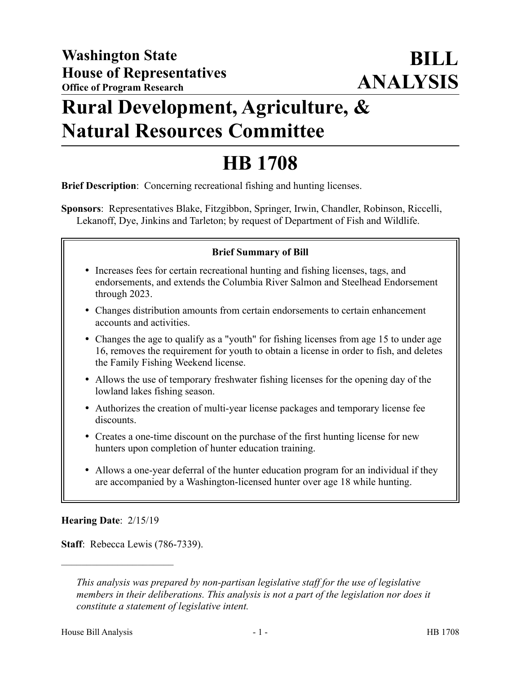# **Rural Development, Agriculture, & Natural Resources Committee**

# **HB 1708**

**Brief Description**: Concerning recreational fishing and hunting licenses.

**Sponsors**: Representatives Blake, Fitzgibbon, Springer, Irwin, Chandler, Robinson, Riccelli, Lekanoff, Dye, Jinkins and Tarleton; by request of Department of Fish and Wildlife.

#### **Brief Summary of Bill**

- Increases fees for certain recreational hunting and fishing licenses, tags, and endorsements, and extends the Columbia River Salmon and Steelhead Endorsement through 2023.
- Changes distribution amounts from certain endorsements to certain enhancement accounts and activities.
- Changes the age to qualify as a "youth" for fishing licenses from age 15 to under age 16, removes the requirement for youth to obtain a license in order to fish, and deletes the Family Fishing Weekend license.
- Allows the use of temporary freshwater fishing licenses for the opening day of the lowland lakes fishing season.
- Authorizes the creation of multi-year license packages and temporary license fee discounts.
- Creates a one-time discount on the purchase of the first hunting license for new hunters upon completion of hunter education training.
- Allows a one-year deferral of the hunter education program for an individual if they are accompanied by a Washington-licensed hunter over age 18 while hunting.

#### **Hearing Date**: 2/15/19

––––––––––––––––––––––

**Staff**: Rebecca Lewis (786-7339).

*This analysis was prepared by non-partisan legislative staff for the use of legislative members in their deliberations. This analysis is not a part of the legislation nor does it constitute a statement of legislative intent.*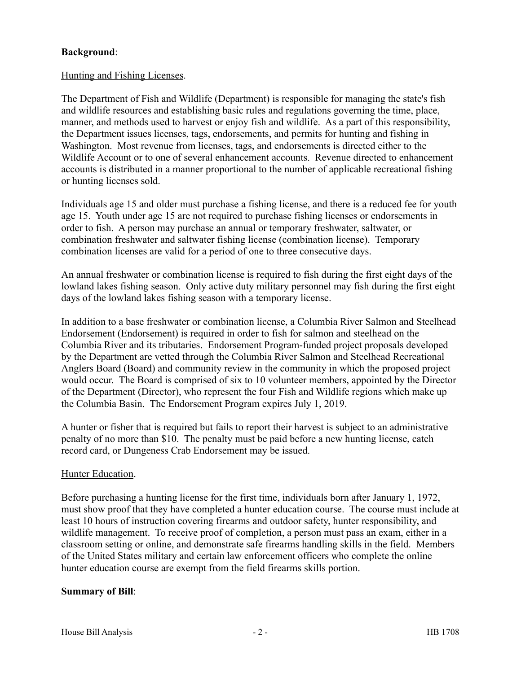## **Background**:

#### Hunting and Fishing Licenses.

The Department of Fish and Wildlife (Department) is responsible for managing the state's fish and wildlife resources and establishing basic rules and regulations governing the time, place, manner, and methods used to harvest or enjoy fish and wildlife. As a part of this responsibility, the Department issues licenses, tags, endorsements, and permits for hunting and fishing in Washington. Most revenue from licenses, tags, and endorsements is directed either to the Wildlife Account or to one of several enhancement accounts. Revenue directed to enhancement accounts is distributed in a manner proportional to the number of applicable recreational fishing or hunting licenses sold.

Individuals age 15 and older must purchase a fishing license, and there is a reduced fee for youth age 15. Youth under age 15 are not required to purchase fishing licenses or endorsements in order to fish. A person may purchase an annual or temporary freshwater, saltwater, or combination freshwater and saltwater fishing license (combination license). Temporary combination licenses are valid for a period of one to three consecutive days.

An annual freshwater or combination license is required to fish during the first eight days of the lowland lakes fishing season. Only active duty military personnel may fish during the first eight days of the lowland lakes fishing season with a temporary license.

In addition to a base freshwater or combination license, a Columbia River Salmon and Steelhead Endorsement (Endorsement) is required in order to fish for salmon and steelhead on the Columbia River and its tributaries. Endorsement Program-funded project proposals developed by the Department are vetted through the Columbia River Salmon and Steelhead Recreational Anglers Board (Board) and community review in the community in which the proposed project would occur. The Board is comprised of six to 10 volunteer members, appointed by the Director of the Department (Director), who represent the four Fish and Wildlife regions which make up the Columbia Basin. The Endorsement Program expires July 1, 2019.

A hunter or fisher that is required but fails to report their harvest is subject to an administrative penalty of no more than \$10. The penalty must be paid before a new hunting license, catch record card, or Dungeness Crab Endorsement may be issued.

#### Hunter Education.

Before purchasing a hunting license for the first time, individuals born after January 1, 1972, must show proof that they have completed a hunter education course. The course must include at least 10 hours of instruction covering firearms and outdoor safety, hunter responsibility, and wildlife management. To receive proof of completion, a person must pass an exam, either in a classroom setting or online, and demonstrate safe firearms handling skills in the field. Members of the United States military and certain law enforcement officers who complete the online hunter education course are exempt from the field firearms skills portion.

#### **Summary of Bill**: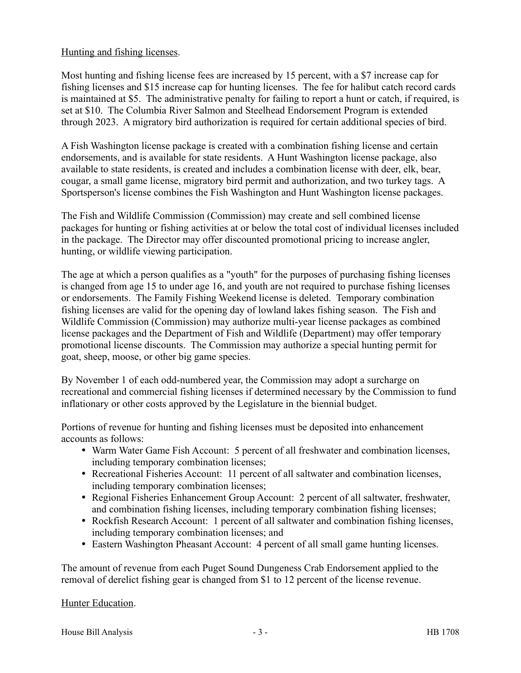#### Hunting and fishing licenses.

Most hunting and fishing license fees are increased by 15 percent, with a \$7 increase cap for fishing licenses and \$15 increase cap for hunting licenses. The fee for halibut catch record cards is maintained at \$5. The administrative penalty for failing to report a hunt or catch, if required, is set at \$10. The Columbia River Salmon and Steelhead Endorsement Program is extended through 2023. A migratory bird authorization is required for certain additional species of bird.

A Fish Washington license package is created with a combination fishing license and certain endorsements, and is available for state residents. A Hunt Washington license package, also available to state residents, is created and includes a combination license with deer, elk, bear, cougar, a small game license, migratory bird permit and authorization, and two turkey tags. A Sportsperson's license combines the Fish Washington and Hunt Washington license packages.

The Fish and Wildlife Commission (Commission) may create and sell combined license packages for hunting or fishing activities at or below the total cost of individual licenses included in the package. The Director may offer discounted promotional pricing to increase angler, hunting, or wildlife viewing participation.

The age at which a person qualifies as a "youth" for the purposes of purchasing fishing licenses is changed from age 15 to under age 16, and youth are not required to purchase fishing licenses or endorsements. The Family Fishing Weekend license is deleted. Temporary combination fishing licenses are valid for the opening day of lowland lakes fishing season. The Fish and Wildlife Commission (Commission) may authorize multi-year license packages as combined license packages and the Department of Fish and Wildlife (Department) may offer temporary promotional license discounts. The Commission may authorize a special hunting permit for goat, sheep, moose, or other big game species.

By November 1 of each odd-numbered year, the Commission may adopt a surcharge on recreational and commercial fishing licenses if determined necessary by the Commission to fund inflationary or other costs approved by the Legislature in the biennial budget.

Portions of revenue for hunting and fishing licenses must be deposited into enhancement accounts as follows:

- Warm Water Game Fish Account: 5 percent of all freshwater and combination licenses, including temporary combination licenses;
- Recreational Fisheries Account: 11 percent of all saltwater and combination licenses, including temporary combination licenses;
- Regional Fisheries Enhancement Group Account: 2 percent of all saltwater, freshwater, and combination fishing licenses, including temporary combination fishing licenses;
- Rockfish Research Account: 1 percent of all saltwater and combination fishing licenses, including temporary combination licenses; and
- Eastern Washington Pheasant Account: 4 percent of all small game hunting licenses.

The amount of revenue from each Puget Sound Dungeness Crab Endorsement applied to the removal of derelict fishing gear is changed from \$1 to 12 percent of the license revenue.

## Hunter Education.

House Bill Analysis **a**  $-3$  - **HB** 1708